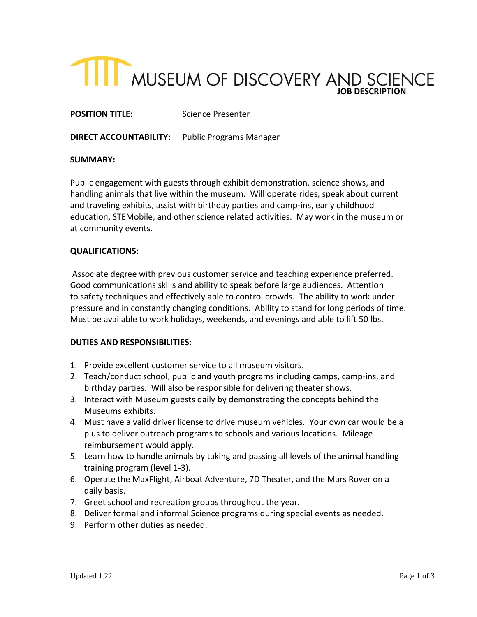# **TII MUSEUM OF DISCOVERY AND SCIENCE**

**POSITION TITLE:** Science Presenter

**DIRECT ACCOUNTABILITY:** Public Programs Manager

#### **SUMMARY:**

Public engagement with guests through exhibit demonstration, science shows, and handling animals that live within the museum. Will operate rides, speak about current and traveling exhibits, assist with birthday parties and camp-ins, early childhood education, STEMobile, and other science related activities. May work in the museum or at community events.

#### **QUALIFICATIONS:**

Associate degree with previous customer service and teaching experience preferred. Good communications skills and ability to speak before large audiences. Attention to safety techniques and effectively able to control crowds. The ability to work under pressure and in constantly changing conditions. Ability to stand for long periods of time. Must be available to work holidays, weekends, and evenings and able to lift 50 lbs.

#### **DUTIES AND RESPONSIBILITIES:**

- 1. Provide excellent customer service to all museum visitors.
- 2. Teach/conduct school, public and youth programs including camps, camp-ins, and birthday parties. Will also be responsible for delivering theater shows.
- 3. Interact with Museum guests daily by demonstrating the concepts behind the Museums exhibits.
- 4. Must have a valid driver license to drive museum vehicles. Your own car would be a plus to deliver outreach programs to schools and various locations. Mileage reimbursement would apply.
- 5. Learn how to handle animals by taking and passing all levels of the animal handling training program (level 1-3).
- 6. Operate the MaxFlight, Airboat Adventure, 7D Theater, and the Mars Rover on a daily basis.
- 7. Greet school and recreation groups throughout the year.
- 8. Deliver formal and informal Science programs during special events as needed.
- 9. Perform other duties as needed.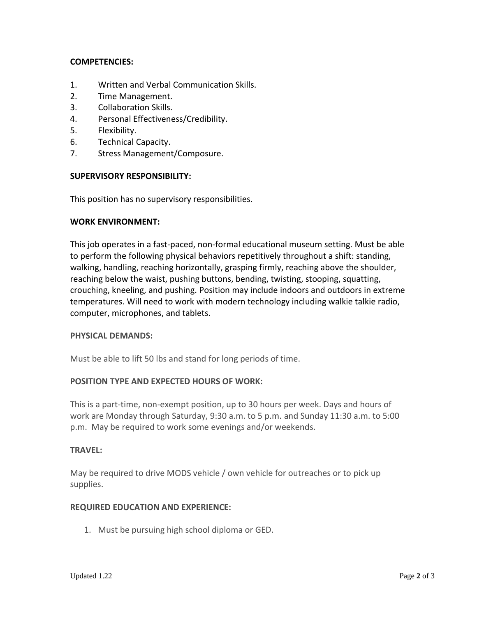## **COMPETENCIES:**

- 1. Written and Verbal Communication Skills.
- 2. Time Management.
- 3. Collaboration Skills.
- 4. Personal Effectiveness/Credibility.
- 5. Flexibility.
- 6. Technical Capacity.
- 7. Stress Management/Composure.

### **SUPERVISORY RESPONSIBILITY:**

This position has no supervisory responsibilities.

#### **WORK ENVIRONMENT:**

This job operates in a fast-paced, non-formal educational museum setting. Must be able to perform the following physical behaviors repetitively throughout a shift: standing, walking, handling, reaching horizontally, grasping firmly, reaching above the shoulder, reaching below the waist, pushing buttons, bending, twisting, stooping, squatting, crouching, kneeling, and pushing. Position may include indoors and outdoors in extreme temperatures. Will need to work with modern technology including walkie talkie radio, computer, microphones, and tablets.

#### **PHYSICAL DEMANDS:**

Must be able to lift 50 lbs and stand for long periods of time.

## **POSITION TYPE AND EXPECTED HOURS OF WORK:**

This is a part-time, non-exempt position, up to 30 hours per week. Days and hours of work are Monday through Saturday, 9:30 a.m. to 5 p.m. and Sunday 11:30 a.m. to 5:00 p.m. May be required to work some evenings and/or weekends.

### **TRAVEL:**

May be required to drive MODS vehicle / own vehicle for outreaches or to pick up supplies.

#### **REQUIRED EDUCATION AND EXPERIENCE:**

1. Must be pursuing high school diploma or GED.